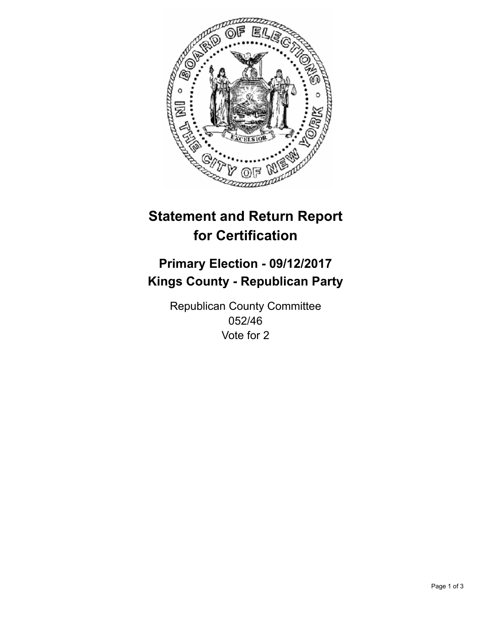

## **Statement and Return Report for Certification**

## **Primary Election - 09/12/2017 Kings County - Republican Party**

Republican County Committee 052/46 Vote for 2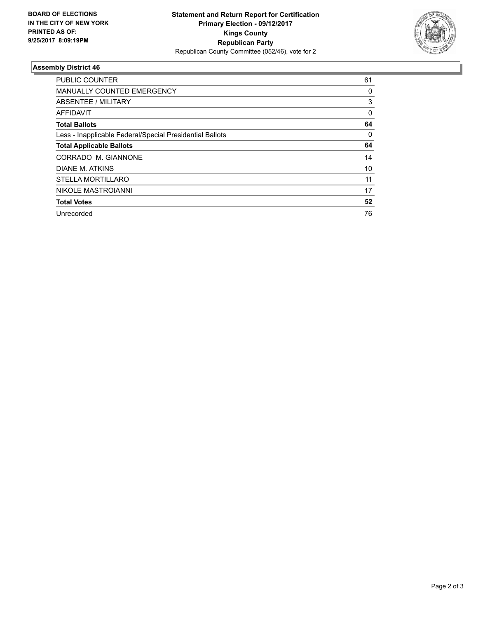

## **Assembly District 46**

| <b>PUBLIC COUNTER</b>                                    | 61       |
|----------------------------------------------------------|----------|
| MANUALLY COUNTED EMERGENCY                               | 0        |
| ABSENTEE / MILITARY                                      | 3        |
| AFFIDAVIT                                                | $\Omega$ |
| <b>Total Ballots</b>                                     | 64       |
| Less - Inapplicable Federal/Special Presidential Ballots | 0        |
| <b>Total Applicable Ballots</b>                          | 64       |
| CORRADO M. GIANNONE                                      | 14       |
| DIANE M. ATKINS                                          | 10       |
| <b>STELLA MORTILLARO</b>                                 | 11       |
| NIKOLE MASTROIANNI                                       | 17       |
| <b>Total Votes</b>                                       | 52       |
| Unrecorded                                               | 76       |